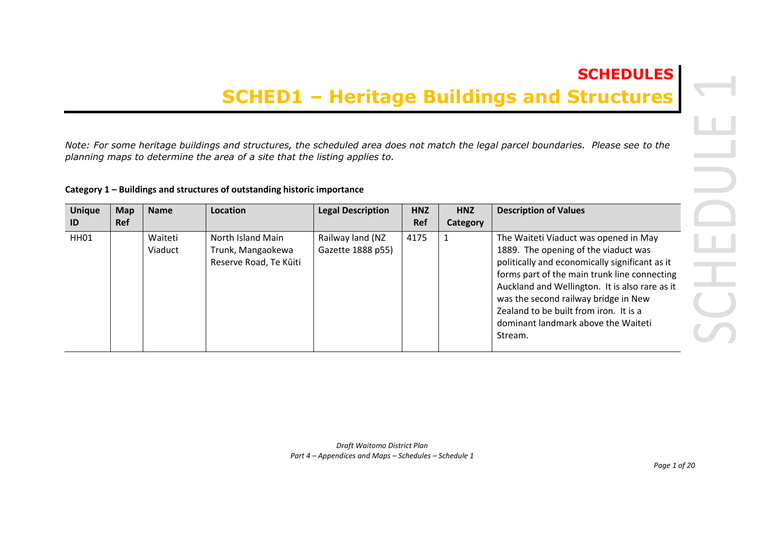## **SCHEDULES**

## **SCHED1 – Heritage Buildings and Structures**

*Note: For some heritage buildings and structures, the scheduled area does not match the legal parcel boundaries. Please see to the planning maps to determine the area of a site that the listing applies to.* 

## **Category 1 – Buildings and structures of outstanding historic importance**

| <b>Unique</b> | <b>Map</b> | <b>Name</b>        | Location                                                         | <b>Legal Description</b>              | <b>HNZ</b> | <b>HNZ</b> | <b>Description of Values</b>                                                                                                                                                                                                                                                                                                                                          |
|---------------|------------|--------------------|------------------------------------------------------------------|---------------------------------------|------------|------------|-----------------------------------------------------------------------------------------------------------------------------------------------------------------------------------------------------------------------------------------------------------------------------------------------------------------------------------------------------------------------|
| ID            | <b>Ref</b> |                    |                                                                  |                                       | Ref        | Category   |                                                                                                                                                                                                                                                                                                                                                                       |
| HH01          |            | Waiteti<br>Viaduct | North Island Main<br>Trunk, Mangaokewa<br>Reserve Road, Te Kūiti | Railway land (NZ<br>Gazette 1888 p55) | 4175       |            | The Waiteti Viaduct was opened in May<br>1889. The opening of the viaduct was<br>politically and economically significant as it<br>forms part of the main trunk line connecting<br>Auckland and Wellington. It is also rare as it<br>was the second railway bridge in New<br>Zealand to be built from iron. It is a<br>dominant landmark above the Waiteti<br>Stream. |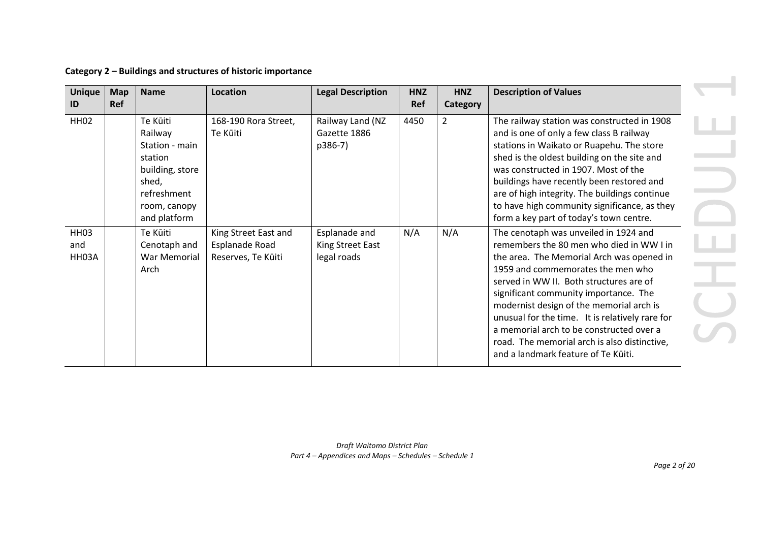| Category 2 - Buildings and structures of historic importance |  |  |  |
|--------------------------------------------------------------|--|--|--|
|--------------------------------------------------------------|--|--|--|

| <b>Unique</b><br>ID         | <b>Map</b><br>Ref | <b>Name</b>                                                                                                                 | Location                                                     | <b>Legal Description</b>                         | <b>HNZ</b><br>Ref | <b>HNZ</b><br>Category | <b>Description of Values</b>                                                                                                                                                                                                                                                                                                                                                                                                                                                              |
|-----------------------------|-------------------|-----------------------------------------------------------------------------------------------------------------------------|--------------------------------------------------------------|--------------------------------------------------|-------------------|------------------------|-------------------------------------------------------------------------------------------------------------------------------------------------------------------------------------------------------------------------------------------------------------------------------------------------------------------------------------------------------------------------------------------------------------------------------------------------------------------------------------------|
| <b>HH02</b>                 |                   | Te Kūiti<br>Railway<br>Station - main<br>station<br>building, store<br>shed,<br>refreshment<br>room, canopy<br>and platform | 168-190 Rora Street,<br>Te Kūiti                             | Railway Land (NZ<br>Gazette 1886<br>p386-7)      | 4450              | 2                      | The railway station was constructed in 1908<br>and is one of only a few class B railway<br>stations in Waikato or Ruapehu. The store<br>shed is the oldest building on the site and<br>was constructed in 1907. Most of the<br>buildings have recently been restored and<br>are of high integrity. The buildings continue<br>to have high community significance, as they<br>form a key part of today's town centre.                                                                      |
| <b>HH03</b><br>and<br>HH03A |                   | Te Kūiti<br>Cenotaph and<br>War Memorial<br>Arch                                                                            | King Street East and<br>Esplanade Road<br>Reserves, Te Kūiti | Esplanade and<br>King Street East<br>legal roads | N/A               | N/A                    | The cenotaph was unveiled in 1924 and<br>remembers the 80 men who died in WW I in<br>the area. The Memorial Arch was opened in<br>1959 and commemorates the men who<br>served in WW II. Both structures are of<br>significant community importance. The<br>modernist design of the memorial arch is<br>unusual for the time. It is relatively rare for<br>a memorial arch to be constructed over a<br>road. The memorial arch is also distinctive,<br>and a landmark feature of Te Kūiti. |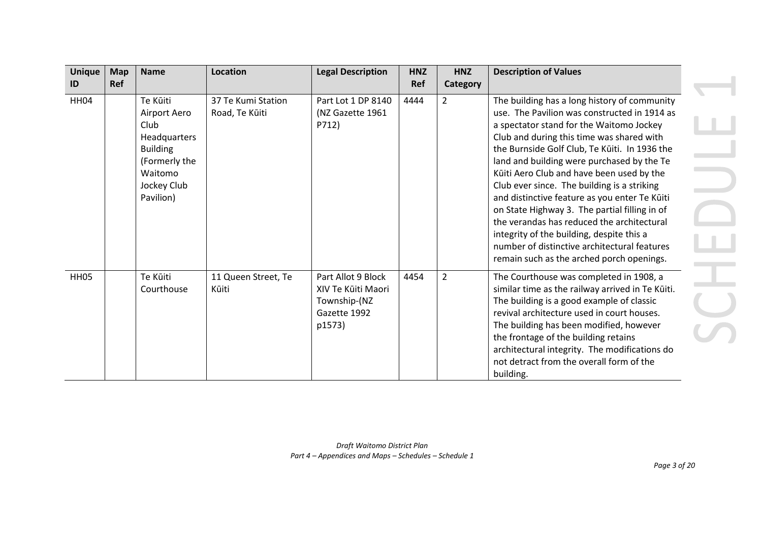| <b>Unique</b>    | <b>Map</b> | <b>Name</b>                                                                                                                 | Location                             | <b>Legal Description</b>                                                           | <b>HNZ</b> | <b>HNZ</b>     | <b>Description of Values</b>                                                                                                                                                                                                                                                                                                                                                                                                                                                                                                                                                                                                                                               |
|------------------|------------|-----------------------------------------------------------------------------------------------------------------------------|--------------------------------------|------------------------------------------------------------------------------------|------------|----------------|----------------------------------------------------------------------------------------------------------------------------------------------------------------------------------------------------------------------------------------------------------------------------------------------------------------------------------------------------------------------------------------------------------------------------------------------------------------------------------------------------------------------------------------------------------------------------------------------------------------------------------------------------------------------------|
| ID               | <b>Ref</b> |                                                                                                                             |                                      |                                                                                    | <b>Ref</b> | Category       |                                                                                                                                                                                                                                                                                                                                                                                                                                                                                                                                                                                                                                                                            |
| <b>HH04</b>      |            | Te Kūiti<br>Airport Aero<br>Club<br>Headquarters<br><b>Building</b><br>(Formerly the<br>Waitomo<br>Jockey Club<br>Pavilion) | 37 Te Kumi Station<br>Road, Te Kūiti | Part Lot 1 DP 8140<br>(NZ Gazette 1961<br>P712)                                    | 4444       | $\overline{2}$ | The building has a long history of community<br>use. The Pavilion was constructed in 1914 as<br>a spectator stand for the Waitomo Jockey<br>Club and during this time was shared with<br>the Burnside Golf Club, Te Kūiti. In 1936 the<br>land and building were purchased by the Te<br>Kūiti Aero Club and have been used by the<br>Club ever since. The building is a striking<br>and distinctive feature as you enter Te Kūiti<br>on State Highway 3. The partial filling in of<br>the verandas has reduced the architectural<br>integrity of the building, despite this a<br>number of distinctive architectural features<br>remain such as the arched porch openings. |
| HH <sub>05</sub> |            | Te Kūiti<br>Courthouse                                                                                                      | 11 Queen Street, Te<br>Kūiti         | Part Allot 9 Block<br>XIV Te Kūiti Maori<br>Township-(NZ<br>Gazette 1992<br>p1573) | 4454       | $\overline{2}$ | The Courthouse was completed in 1908, a<br>similar time as the railway arrived in Te Kūiti.<br>The building is a good example of classic<br>revival architecture used in court houses.<br>The building has been modified, however<br>the frontage of the building retains<br>architectural integrity. The modifications do<br>not detract from the overall form of the<br>building.                                                                                                                                                                                                                                                                                        |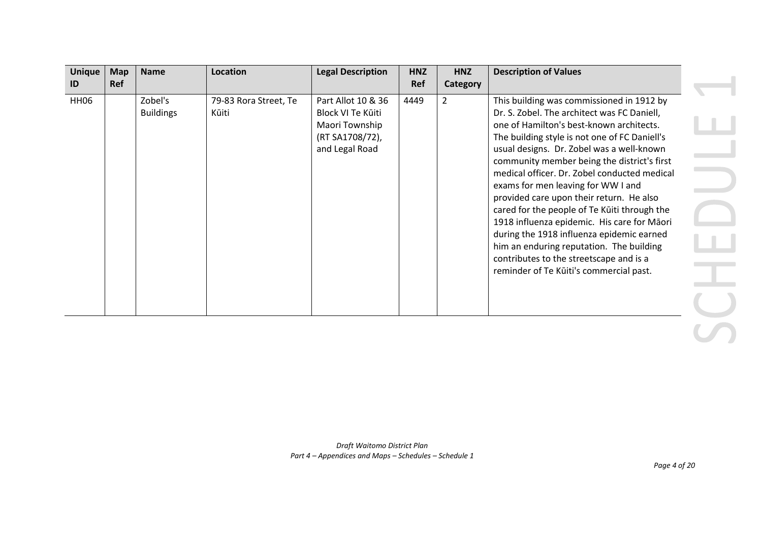| <b>Unique</b> | <b>Map</b> | <b>Name</b>                 | Location                       | <b>Legal Description</b>                                                                       | <b>HNZ</b> | <b>HNZ</b> | <b>Description of Values</b>                                                                                                                                                                                                                                                                                                                                                                                                                                                                                                                                                                                                                                                                      |  |
|---------------|------------|-----------------------------|--------------------------------|------------------------------------------------------------------------------------------------|------------|------------|---------------------------------------------------------------------------------------------------------------------------------------------------------------------------------------------------------------------------------------------------------------------------------------------------------------------------------------------------------------------------------------------------------------------------------------------------------------------------------------------------------------------------------------------------------------------------------------------------------------------------------------------------------------------------------------------------|--|
| ID            | <b>Ref</b> |                             |                                |                                                                                                | Ref        | Category   |                                                                                                                                                                                                                                                                                                                                                                                                                                                                                                                                                                                                                                                                                                   |  |
| <b>HH06</b>   |            | Zobel's<br><b>Buildings</b> | 79-83 Rora Street, Te<br>Kūiti | Part Allot 10 & 36<br>Block VI Te Kūiti<br>Maori Township<br>(RT SA1708/72),<br>and Legal Road | 4449       | 2          | This building was commissioned in 1912 by<br>Dr. S. Zobel. The architect was FC Daniell,<br>one of Hamilton's best-known architects.<br>The building style is not one of FC Daniell's<br>usual designs. Dr. Zobel was a well-known<br>community member being the district's first<br>medical officer. Dr. Zobel conducted medical<br>exams for men leaving for WW I and<br>provided care upon their return. He also<br>cared for the people of Te Kūiti through the<br>1918 influenza epidemic. His care for Māori<br>during the 1918 influenza epidemic earned<br>him an enduring reputation. The building<br>contributes to the streetscape and is a<br>reminder of Te Kūiti's commercial past. |  |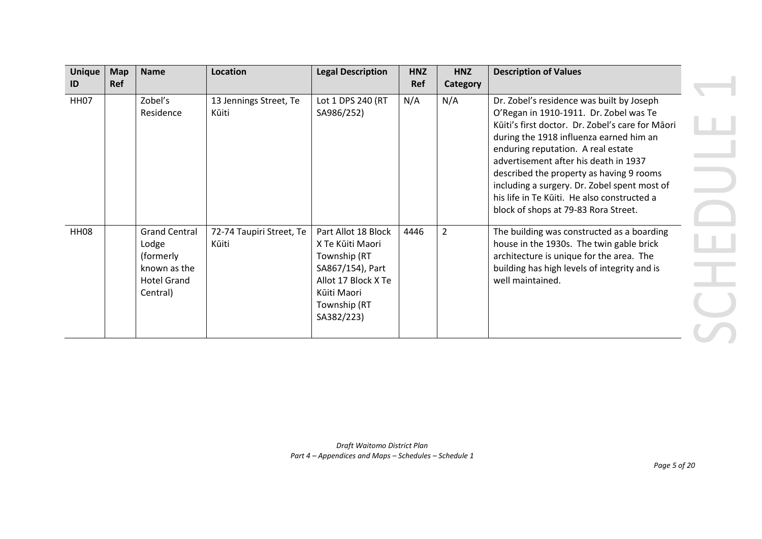| <b>Unique</b> | <b>Map</b> | <b>Name</b>                                                                                  | <b>Location</b>                   | <b>Legal Description</b>                                                                                                                        | <b>HNZ</b> | <b>HNZ</b> | <b>Description of Values</b>                                                                                                                                                                                                                                                                                                                                                                                                                         |
|---------------|------------|----------------------------------------------------------------------------------------------|-----------------------------------|-------------------------------------------------------------------------------------------------------------------------------------------------|------------|------------|------------------------------------------------------------------------------------------------------------------------------------------------------------------------------------------------------------------------------------------------------------------------------------------------------------------------------------------------------------------------------------------------------------------------------------------------------|
| ID            | Ref        |                                                                                              |                                   |                                                                                                                                                 | Ref        | Category   |                                                                                                                                                                                                                                                                                                                                                                                                                                                      |
| <b>HH07</b>   |            | Zobel's<br>Residence                                                                         | 13 Jennings Street, Te<br>Kūiti   | Lot 1 DPS 240 (RT<br>SA986/252)                                                                                                                 | N/A        | N/A        | Dr. Zobel's residence was built by Joseph<br>O'Regan in 1910-1911. Dr. Zobel was Te<br>Kūiti's first doctor. Dr. Zobel's care for Māori<br>during the 1918 influenza earned him an<br>enduring reputation. A real estate<br>advertisement after his death in 1937<br>described the property as having 9 rooms<br>including a surgery. Dr. Zobel spent most of<br>his life in Te Kūiti. He also constructed a<br>block of shops at 79-83 Rora Street. |
| <b>HH08</b>   |            | <b>Grand Central</b><br>Lodge<br>(formerly<br>known as the<br><b>Hotel Grand</b><br>Central) | 72-74 Taupiri Street, Te<br>Kūiti | Part Allot 18 Block<br>X Te Kūiti Maori<br>Township (RT<br>SA867/154), Part<br>Allot 17 Block X Te<br>Kūiti Maori<br>Township (RT<br>SA382/223) | 4446       | 2          | The building was constructed as a boarding<br>house in the 1930s. The twin gable brick<br>architecture is unique for the area. The<br>building has high levels of integrity and is<br>well maintained.                                                                                                                                                                                                                                               |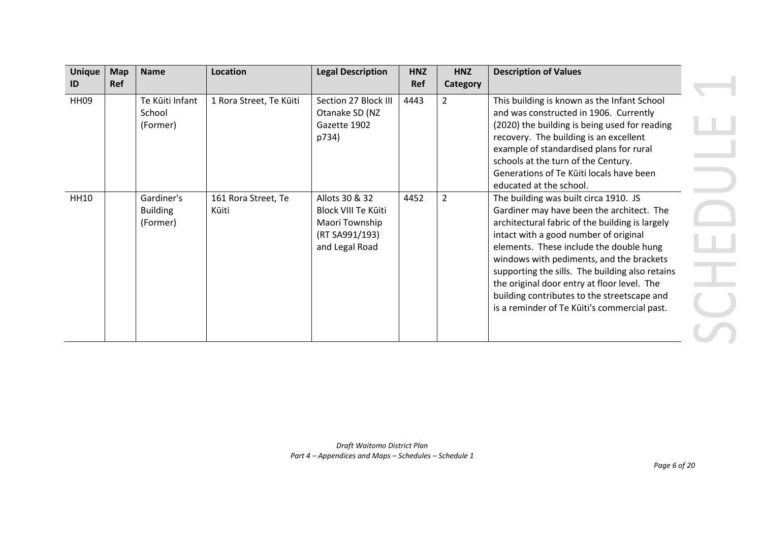| <b>Unique</b><br>ID | <b>Map</b><br>Ref | <b>Name</b>                               | <b>Location</b>              | <b>Legal Description</b>                                                                    | <b>HNZ</b><br>Ref | <b>HNZ</b><br>Category | <b>Description of Values</b>                                                                                                                                                                                                                                                                                                                                                                                                                                           |
|---------------------|-------------------|-------------------------------------------|------------------------------|---------------------------------------------------------------------------------------------|-------------------|------------------------|------------------------------------------------------------------------------------------------------------------------------------------------------------------------------------------------------------------------------------------------------------------------------------------------------------------------------------------------------------------------------------------------------------------------------------------------------------------------|
| <b>HH09</b>         |                   | Te Kūiti Infant<br>School<br>(Former)     | 1 Rora Street, Te Kūiti      | Section 27 Block III<br>Otanake SD (NZ<br>Gazette 1902<br>p734)                             | 4443              | $\overline{2}$         | This building is known as the Infant School<br>and was constructed in 1906. Currently<br>(2020) the building is being used for reading<br>recovery. The building is an excellent<br>example of standardised plans for rural<br>schools at the turn of the Century.<br>Generations of Te Kūiti locals have been<br>educated at the school.                                                                                                                              |
| <b>HH10</b>         |                   | Gardiner's<br><b>Building</b><br>(Former) | 161 Rora Street, Te<br>Kūiti | Allots 30 & 32<br>Block VIII Te Kūiti<br>Maori Township<br>(RT SA991/193)<br>and Legal Road | 4452              | $\overline{2}$         | The building was built circa 1910. JS<br>Gardiner may have been the architect. The<br>architectural fabric of the building is largely<br>intact with a good number of original<br>elements. These include the double hung<br>windows with pediments, and the brackets<br>supporting the sills. The building also retains<br>the original door entry at floor level. The<br>building contributes to the streetscape and<br>is a reminder of Te Kūiti's commercial past. |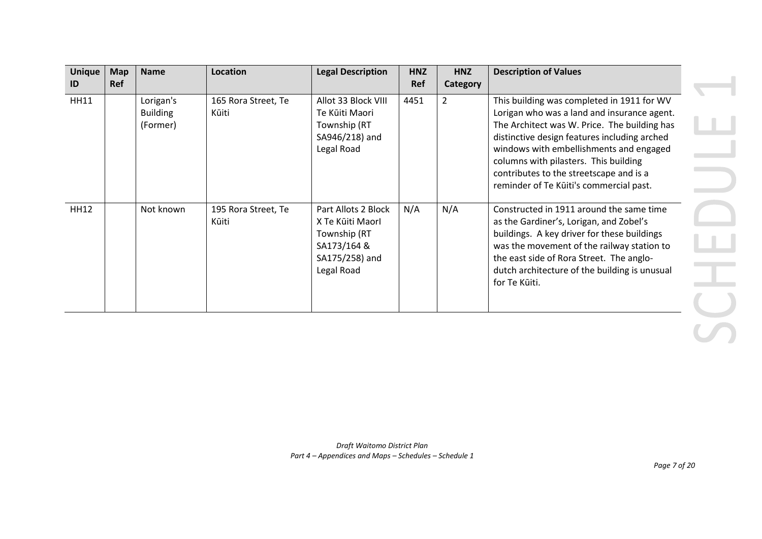| <b>Unique</b> | <b>Map</b> | <b>Name</b>     | <b>Location</b>     | <b>Legal Description</b> | <b>HNZ</b> | <b>HNZ</b>      | <b>Description of Values</b>                  |
|---------------|------------|-----------------|---------------------|--------------------------|------------|-----------------|-----------------------------------------------|
| ID            | Ref        |                 |                     |                          | Ref        | <b>Category</b> |                                               |
| <b>HH11</b>   |            | Lorigan's       | 165 Rora Street, Te | Allot 33 Block VIII      | 4451       | $\overline{2}$  | This building was completed in 1911 for WV    |
|               |            | <b>Building</b> | Kūiti               | Te Kūiti Maori           |            |                 | Lorigan who was a land and insurance agent.   |
|               |            | (Former)        |                     | Township (RT             |            |                 | The Architect was W. Price. The building has  |
|               |            |                 |                     | SA946/218) and           |            |                 | distinctive design features including arched  |
|               |            |                 |                     | Legal Road               |            |                 | windows with embellishments and engaged       |
|               |            |                 |                     |                          |            |                 | columns with pilasters. This building         |
|               |            |                 |                     |                          |            |                 | contributes to the streetscape and is a       |
|               |            |                 |                     |                          |            |                 | reminder of Te Kūiti's commercial past.       |
| <b>HH12</b>   |            | Not known       | 195 Rora Street, Te | Part Allots 2 Block      | N/A        | N/A             | Constructed in 1911 around the same time      |
|               |            |                 | Kūiti               | X Te Kūiti Maorl         |            |                 | as the Gardiner's, Lorigan, and Zobel's       |
|               |            |                 |                     | Township (RT             |            |                 | buildings. A key driver for these buildings   |
|               |            |                 |                     | SA173/164 &              |            |                 | was the movement of the railway station to    |
|               |            |                 |                     | SA175/258) and           |            |                 | the east side of Rora Street. The anglo-      |
|               |            |                 |                     | Legal Road               |            |                 | dutch architecture of the building is unusual |
|               |            |                 |                     |                          |            |                 | for Te Kūiti.                                 |
|               |            |                 |                     |                          |            |                 |                                               |
|               |            |                 |                     |                          |            |                 |                                               |
|               |            |                 |                     |                          |            |                 |                                               |
|               |            |                 |                     |                          |            |                 |                                               |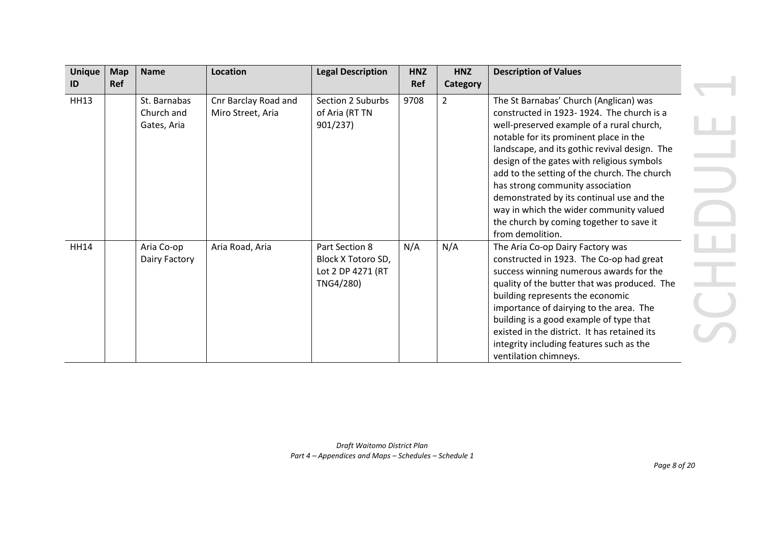| <b>Unique</b> | <b>Map</b> | <b>Name</b>                               | Location                                  | <b>Legal Description</b>                                               | <b>HNZ</b> | <b>HNZ</b>     | <b>Description of Values</b>                                                                                                                                                                                                                                                                                                                                                                                                                                                                                          |
|---------------|------------|-------------------------------------------|-------------------------------------------|------------------------------------------------------------------------|------------|----------------|-----------------------------------------------------------------------------------------------------------------------------------------------------------------------------------------------------------------------------------------------------------------------------------------------------------------------------------------------------------------------------------------------------------------------------------------------------------------------------------------------------------------------|
| ID            | Ref        |                                           |                                           |                                                                        | Ref        | Category       |                                                                                                                                                                                                                                                                                                                                                                                                                                                                                                                       |
| <b>HH13</b>   |            | St. Barnabas<br>Church and<br>Gates, Aria | Cnr Barclay Road and<br>Miro Street, Aria | Section 2 Suburbs<br>of Aria (RT TN<br>901/237                         | 9708       | $\overline{2}$ | The St Barnabas' Church (Anglican) was<br>constructed in 1923-1924. The church is a<br>well-preserved example of a rural church,<br>notable for its prominent place in the<br>landscape, and its gothic revival design. The<br>design of the gates with religious symbols<br>add to the setting of the church. The church<br>has strong community association<br>demonstrated by its continual use and the<br>way in which the wider community valued<br>the church by coming together to save it<br>from demolition. |
| <b>HH14</b>   |            | Aria Co-op<br>Dairy Factory               | Aria Road, Aria                           | Part Section 8<br>Block X Totoro SD,<br>Lot 2 DP 4271 (RT<br>TNG4/280) | N/A        | N/A            | The Aria Co-op Dairy Factory was<br>constructed in 1923. The Co-op had great<br>success winning numerous awards for the<br>quality of the butter that was produced. The<br>building represents the economic<br>importance of dairying to the area. The<br>building is a good example of type that<br>existed in the district. It has retained its<br>integrity including features such as the<br>ventilation chimneys.                                                                                                |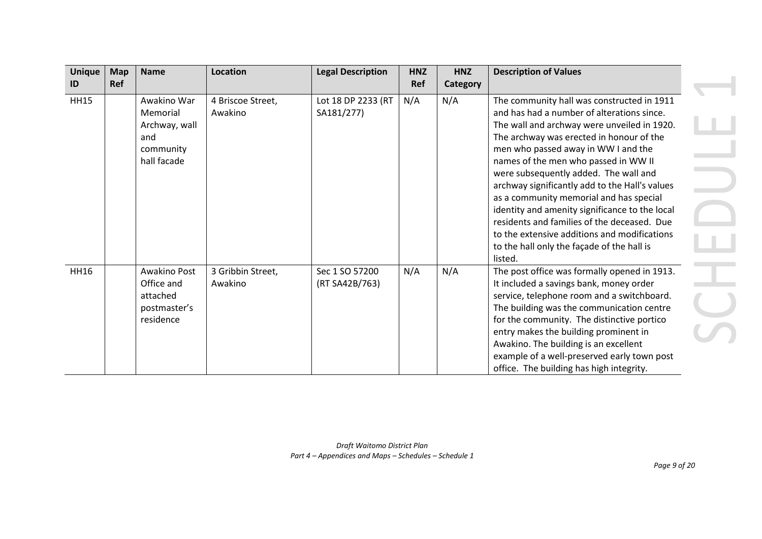| <b>Unique</b> | <b>Map</b> | <b>Name</b>                                                                 | <b>Location</b>              | <b>Legal Description</b>         | <b>HNZ</b> | <b>HNZ</b> | <b>Description of Values</b>                                                                                                                                                                                                                                                                                                                                                                                                                                                                                                                                                                                       |
|---------------|------------|-----------------------------------------------------------------------------|------------------------------|----------------------------------|------------|------------|--------------------------------------------------------------------------------------------------------------------------------------------------------------------------------------------------------------------------------------------------------------------------------------------------------------------------------------------------------------------------------------------------------------------------------------------------------------------------------------------------------------------------------------------------------------------------------------------------------------------|
| ID            | <b>Ref</b> |                                                                             |                              |                                  | Ref        | Category   |                                                                                                                                                                                                                                                                                                                                                                                                                                                                                                                                                                                                                    |
| <b>HH15</b>   |            | Awakino War<br>Memorial<br>Archway, wall<br>and<br>community<br>hall facade | 4 Briscoe Street,<br>Awakino | Lot 18 DP 2233 (RT<br>SA181/277) | N/A        | N/A        | The community hall was constructed in 1911<br>and has had a number of alterations since.<br>The wall and archway were unveiled in 1920.<br>The archway was erected in honour of the<br>men who passed away in WW I and the<br>names of the men who passed in WW II<br>were subsequently added. The wall and<br>archway significantly add to the Hall's values<br>as a community memorial and has special<br>identity and amenity significance to the local<br>residents and families of the deceased. Due<br>to the extensive additions and modifications<br>to the hall only the façade of the hall is<br>listed. |
| <b>HH16</b>   |            | Awakino Post<br>Office and<br>attached<br>postmaster's<br>residence         | 3 Gribbin Street,<br>Awakino | Sec 1 SO 57200<br>(RT SA42B/763) | N/A        | N/A        | The post office was formally opened in 1913.<br>It included a savings bank, money order<br>service, telephone room and a switchboard.<br>The building was the communication centre<br>for the community. The distinctive portico<br>entry makes the building prominent in<br>Awakino. The building is an excellent<br>example of a well-preserved early town post<br>office. The building has high integrity.                                                                                                                                                                                                      |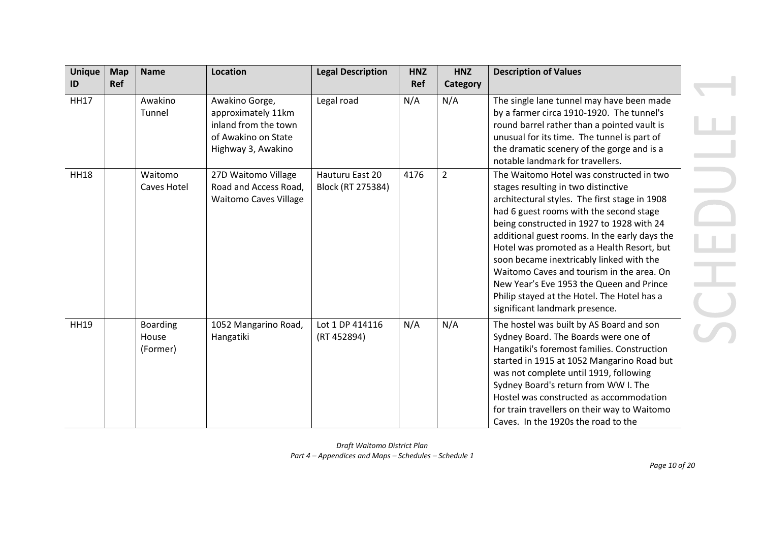| <b>Unique</b> | <b>Map</b> | <b>Name</b>                          | <b>Location</b>                                                                                           | <b>Legal Description</b>             | <b>HNZ</b> | <b>HNZ</b>     | <b>Description of Values</b>                                                                                                                                                                                                                                                                                                                                                                                                                                                                                                                  |
|---------------|------------|--------------------------------------|-----------------------------------------------------------------------------------------------------------|--------------------------------------|------------|----------------|-----------------------------------------------------------------------------------------------------------------------------------------------------------------------------------------------------------------------------------------------------------------------------------------------------------------------------------------------------------------------------------------------------------------------------------------------------------------------------------------------------------------------------------------------|
| ID            | Ref        |                                      |                                                                                                           |                                      | Ref        | Category       |                                                                                                                                                                                                                                                                                                                                                                                                                                                                                                                                               |
| <b>HH17</b>   |            | Awakino<br>Tunnel                    | Awakino Gorge,<br>approximately 11km<br>inland from the town<br>of Awakino on State<br>Highway 3, Awakino | Legal road                           | N/A        | N/A            | The single lane tunnel may have been made<br>by a farmer circa 1910-1920. The tunnel's<br>round barrel rather than a pointed vault is<br>unusual for its time. The tunnel is part of<br>the dramatic scenery of the gorge and is a<br>notable landmark for travellers.                                                                                                                                                                                                                                                                        |
| <b>HH18</b>   |            | Waitomo<br>Caves Hotel               | 27D Waitomo Village<br>Road and Access Road,<br><b>Waitomo Caves Village</b>                              | Hauturu East 20<br>Block (RT 275384) | 4176       | $\overline{2}$ | The Waitomo Hotel was constructed in two<br>stages resulting in two distinctive<br>architectural styles. The first stage in 1908<br>had 6 guest rooms with the second stage<br>being constructed in 1927 to 1928 with 24<br>additional guest rooms. In the early days the<br>Hotel was promoted as a Health Resort, but<br>soon became inextricably linked with the<br>Waitomo Caves and tourism in the area. On<br>New Year's Eve 1953 the Queen and Prince<br>Philip stayed at the Hotel. The Hotel has a<br>significant landmark presence. |
| <b>HH19</b>   |            | <b>Boarding</b><br>House<br>(Former) | 1052 Mangarino Road,<br>Hangatiki                                                                         | Lot 1 DP 414116<br>(RT 452894)       | N/A        | N/A            | The hostel was built by AS Board and son<br>Sydney Board. The Boards were one of<br>Hangatiki's foremost families. Construction<br>started in 1915 at 1052 Mangarino Road but<br>was not complete until 1919, following<br>Sydney Board's return from WW I. The<br>Hostel was constructed as accommodation<br>for train travellers on their way to Waitomo<br>Caves. In the 1920s the road to the                                                                                                                                             |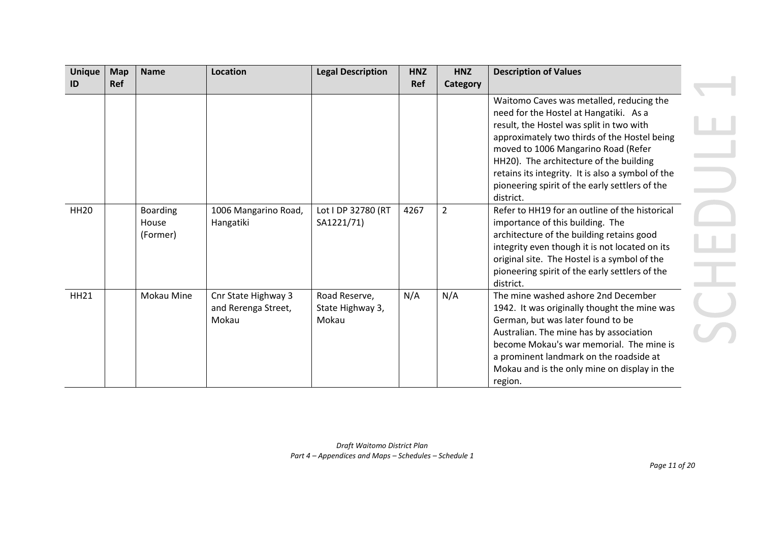| <b>Unique</b> | <b>Map</b> | <b>Name</b>                          | Location                                            | <b>Legal Description</b>                   | <b>HNZ</b> | <b>HNZ</b>     | <b>Description of Values</b>                                                                                                                                                                                                                                                                                                                                                         |
|---------------|------------|--------------------------------------|-----------------------------------------------------|--------------------------------------------|------------|----------------|--------------------------------------------------------------------------------------------------------------------------------------------------------------------------------------------------------------------------------------------------------------------------------------------------------------------------------------------------------------------------------------|
| ID            | <b>Ref</b> |                                      |                                                     |                                            | Ref        | Category       |                                                                                                                                                                                                                                                                                                                                                                                      |
|               |            |                                      |                                                     |                                            |            |                | Waitomo Caves was metalled, reducing the<br>need for the Hostel at Hangatiki. As a<br>result, the Hostel was split in two with<br>approximately two thirds of the Hostel being<br>moved to 1006 Mangarino Road (Refer<br>HH20). The architecture of the building<br>retains its integrity. It is also a symbol of the<br>pioneering spirit of the early settlers of the<br>district. |
| <b>HH20</b>   |            | <b>Boarding</b><br>House<br>(Former) | 1006 Mangarino Road,<br>Hangatiki                   | Lot I DP 32780 (RT<br>SA1221/71)           | 4267       | $\overline{2}$ | Refer to HH19 for an outline of the historical<br>importance of this building. The<br>architecture of the building retains good<br>integrity even though it is not located on its<br>original site. The Hostel is a symbol of the<br>pioneering spirit of the early settlers of the<br>district.                                                                                     |
| <b>HH21</b>   |            | <b>Mokau Mine</b>                    | Cnr State Highway 3<br>and Rerenga Street,<br>Mokau | Road Reserve,<br>State Highway 3,<br>Mokau | N/A        | N/A            | The mine washed ashore 2nd December<br>1942. It was originally thought the mine was<br>German, but was later found to be<br>Australian. The mine has by association<br>become Mokau's war memorial. The mine is<br>a prominent landmark on the roadside at<br>Mokau and is the only mine on display in the<br>region.                                                                |

 $\sim$  10  $\pm$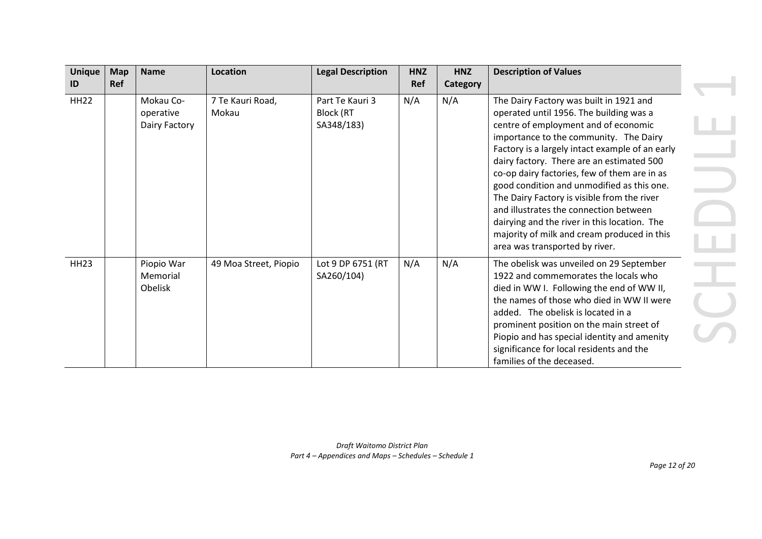| <b>Unique</b>     | <b>Map</b> | <b>Name</b>                             | Location                  | <b>Legal Description</b>                          | <b>HNZ</b> | <b>HNZ</b>      | <b>Description of Values</b>                                                                                                                                                                                                                                                                                                                                                                                                                                                                                                                                                                 |  |
|-------------------|------------|-----------------------------------------|---------------------------|---------------------------------------------------|------------|-----------------|----------------------------------------------------------------------------------------------------------------------------------------------------------------------------------------------------------------------------------------------------------------------------------------------------------------------------------------------------------------------------------------------------------------------------------------------------------------------------------------------------------------------------------------------------------------------------------------------|--|
| ID<br><b>HH22</b> | Ref        | Mokau Co-<br>operative<br>Dairy Factory | 7 Te Kauri Road,<br>Mokau | Part Te Kauri 3<br><b>Block (RT</b><br>SA348/183) | Ref<br>N/A | Category<br>N/A | The Dairy Factory was built in 1921 and<br>operated until 1956. The building was a<br>centre of employment and of economic<br>importance to the community. The Dairy<br>Factory is a largely intact example of an early<br>dairy factory. There are an estimated 500<br>co-op dairy factories, few of them are in as<br>good condition and unmodified as this one.<br>The Dairy Factory is visible from the river<br>and illustrates the connection between<br>dairying and the river in this location. The<br>majority of milk and cream produced in this<br>area was transported by river. |  |
| <b>HH23</b>       |            | Piopio War<br>Memorial<br>Obelisk       | 49 Moa Street, Piopio     | Lot 9 DP 6751 (RT<br>SA260/104)                   | N/A        | N/A             | The obelisk was unveiled on 29 September<br>1922 and commemorates the locals who<br>died in WW I. Following the end of WW II,<br>the names of those who died in WW II were<br>added. The obelisk is located in a<br>prominent position on the main street of<br>Piopio and has special identity and amenity<br>significance for local residents and the<br>families of the deceased.                                                                                                                                                                                                         |  |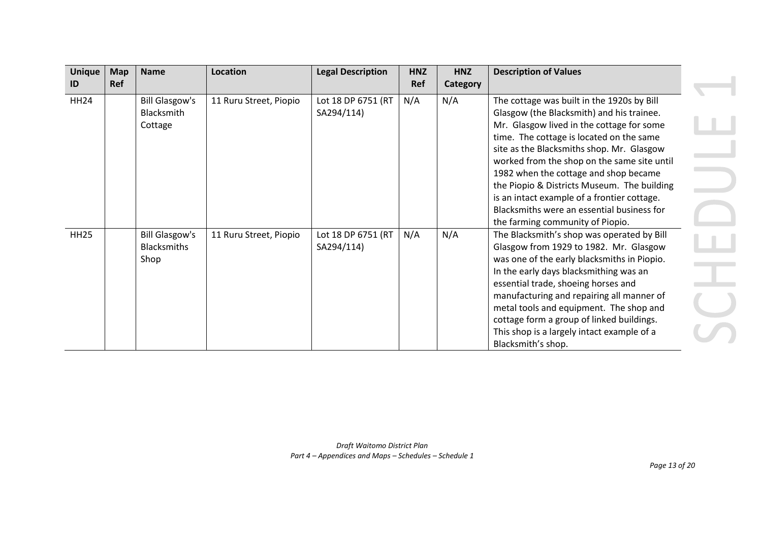| <b>Unique</b> | <b>Map</b> | <b>Name</b>                                         | <b>Location</b>        | <b>Legal Description</b>         | <b>HNZ</b> | <b>HNZ</b> | <b>Description of Values</b>                                                                                                                                                                                                                                                                                                                                                                                                                                                                          |
|---------------|------------|-----------------------------------------------------|------------------------|----------------------------------|------------|------------|-------------------------------------------------------------------------------------------------------------------------------------------------------------------------------------------------------------------------------------------------------------------------------------------------------------------------------------------------------------------------------------------------------------------------------------------------------------------------------------------------------|
| ID            | Ref        |                                                     |                        |                                  | Ref        | Category   |                                                                                                                                                                                                                                                                                                                                                                                                                                                                                                       |
| <b>HH24</b>   |            | <b>Bill Glasgow's</b><br>Blacksmith<br>Cottage      | 11 Ruru Street, Piopio | Lot 18 DP 6751 (RT<br>SA294/114) | N/A        | N/A        | The cottage was built in the 1920s by Bill<br>Glasgow (the Blacksmith) and his trainee.<br>Mr. Glasgow lived in the cottage for some<br>time. The cottage is located on the same<br>site as the Blacksmiths shop. Mr. Glasgow<br>worked from the shop on the same site until<br>1982 when the cottage and shop became<br>the Piopio & Districts Museum. The building<br>is an intact example of a frontier cottage.<br>Blacksmiths were an essential business for<br>the farming community of Piopio. |
| <b>HH25</b>   |            | <b>Bill Glasgow's</b><br><b>Blacksmiths</b><br>Shop | 11 Ruru Street, Piopio | Lot 18 DP 6751 (RT<br>SA294/114) | N/A        | N/A        | The Blacksmith's shop was operated by Bill<br>Glasgow from 1929 to 1982. Mr. Glasgow<br>was one of the early blacksmiths in Piopio.<br>In the early days blacksmithing was an<br>essential trade, shoeing horses and<br>manufacturing and repairing all manner of<br>metal tools and equipment. The shop and<br>cottage form a group of linked buildings.<br>This shop is a largely intact example of a<br>Blacksmith's shop.                                                                         |

 $\mathbb{R}^n$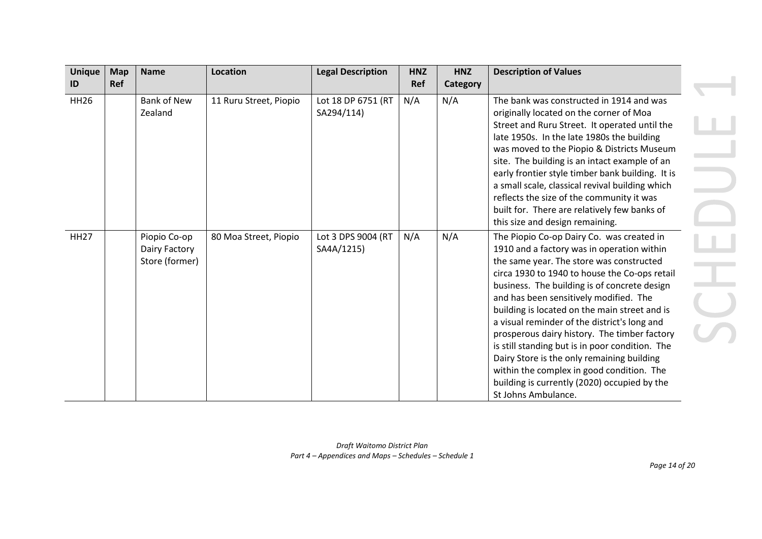| <b>Unique</b> | <b>Map</b> | <b>Name</b>                                     | <b>Location</b>        | <b>Legal Description</b>         | <b>HNZ</b> | <b>HNZ</b> | <b>Description of Values</b>                                                                                                                                                                                                                                                                                                                                                                                                                                                                                                                                                                                                                         |  |
|---------------|------------|-------------------------------------------------|------------------------|----------------------------------|------------|------------|------------------------------------------------------------------------------------------------------------------------------------------------------------------------------------------------------------------------------------------------------------------------------------------------------------------------------------------------------------------------------------------------------------------------------------------------------------------------------------------------------------------------------------------------------------------------------------------------------------------------------------------------------|--|
| ID            | <b>Ref</b> |                                                 |                        |                                  | Ref        | Category   |                                                                                                                                                                                                                                                                                                                                                                                                                                                                                                                                                                                                                                                      |  |
| <b>HH26</b>   |            | <b>Bank of New</b><br>Zealand                   | 11 Ruru Street, Piopio | Lot 18 DP 6751 (RT<br>SA294/114) | N/A        | N/A        | The bank was constructed in 1914 and was<br>originally located on the corner of Moa<br>Street and Ruru Street. It operated until the<br>late 1950s. In the late 1980s the building<br>was moved to the Piopio & Districts Museum<br>site. The building is an intact example of an<br>early frontier style timber bank building. It is<br>a small scale, classical revival building which<br>reflects the size of the community it was<br>built for. There are relatively few banks of<br>this size and design remaining.                                                                                                                             |  |
| <b>HH27</b>   |            | Piopio Co-op<br>Dairy Factory<br>Store (former) | 80 Moa Street, Piopio  | Lot 3 DPS 9004 (RT<br>SA4A/1215) | N/A        | N/A        | The Piopio Co-op Dairy Co. was created in<br>1910 and a factory was in operation within<br>the same year. The store was constructed<br>circa 1930 to 1940 to house the Co-ops retail<br>business. The building is of concrete design<br>and has been sensitively modified. The<br>building is located on the main street and is<br>a visual reminder of the district's long and<br>prosperous dairy history. The timber factory<br>is still standing but is in poor condition. The<br>Dairy Store is the only remaining building<br>within the complex in good condition. The<br>building is currently (2020) occupied by the<br>St Johns Ambulance. |  |

*Page 14 of 20*

 $\mathbf{A}$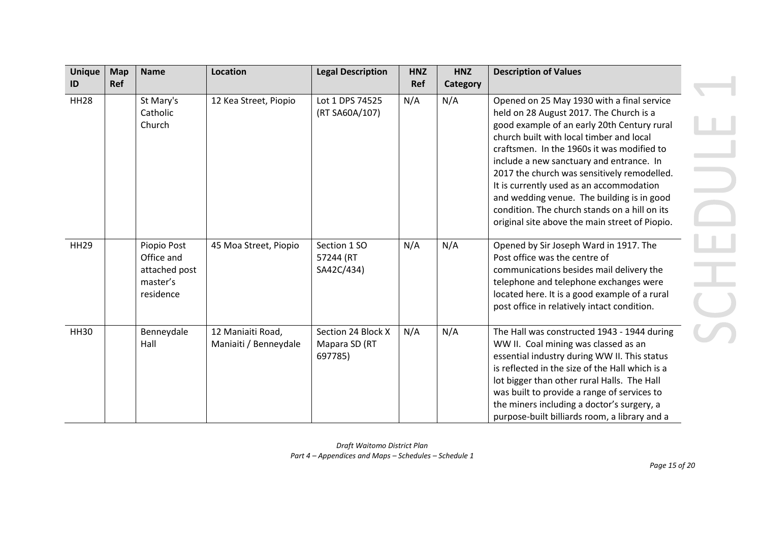| <b>Unique</b><br>ID | <b>Map</b><br><b>Ref</b> | <b>Name</b>                                                         | <b>Location</b>                            | <b>Legal Description</b>                       | <b>HNZ</b><br>Ref | <b>HNZ</b><br>Category | <b>Description of Values</b>                                                                                                                                                                                                                                                                                                                                                                                                                                                                                           |
|---------------------|--------------------------|---------------------------------------------------------------------|--------------------------------------------|------------------------------------------------|-------------------|------------------------|------------------------------------------------------------------------------------------------------------------------------------------------------------------------------------------------------------------------------------------------------------------------------------------------------------------------------------------------------------------------------------------------------------------------------------------------------------------------------------------------------------------------|
| <b>HH28</b>         |                          | St Mary's<br>Catholic<br>Church                                     | 12 Kea Street, Piopio                      | Lot 1 DPS 74525<br>(RT SA60A/107)              | N/A               | N/A                    | Opened on 25 May 1930 with a final service<br>held on 28 August 2017. The Church is a<br>good example of an early 20th Century rural<br>church built with local timber and local<br>craftsmen. In the 1960s it was modified to<br>include a new sanctuary and entrance. In<br>2017 the church was sensitively remodelled.<br>It is currently used as an accommodation<br>and wedding venue. The building is in good<br>condition. The church stands on a hill on its<br>original site above the main street of Piopio. |
| <b>HH29</b>         |                          | Piopio Post<br>Office and<br>attached post<br>master's<br>residence | 45 Moa Street, Piopio                      | Section 1 SO<br>57244 (RT<br>SA42C/434)        | N/A               | N/A                    | Opened by Sir Joseph Ward in 1917. The<br>Post office was the centre of<br>communications besides mail delivery the<br>telephone and telephone exchanges were<br>located here. It is a good example of a rural<br>post office in relatively intact condition.                                                                                                                                                                                                                                                          |
| <b>HH30</b>         |                          | Benneydale<br>Hall                                                  | 12 Maniaiti Road,<br>Maniaiti / Benneydale | Section 24 Block X<br>Mapara SD (RT<br>697785) | N/A               | N/A                    | The Hall was constructed 1943 - 1944 during<br>WW II. Coal mining was classed as an<br>essential industry during WW II. This status<br>is reflected in the size of the Hall which is a<br>lot bigger than other rural Halls. The Hall<br>was built to provide a range of services to<br>the miners including a doctor's surgery, a<br>purpose-built billiards room, a library and a                                                                                                                                    |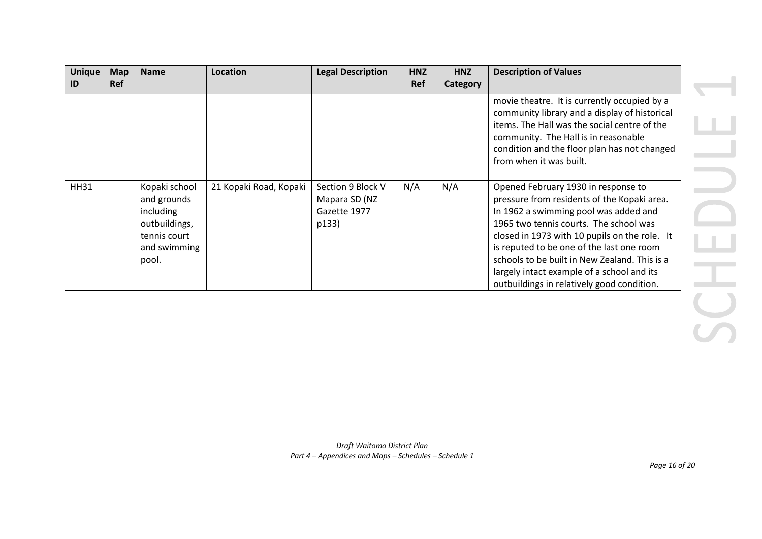| <b>Unique</b> | <b>Map</b> | <b>Name</b>                                                                                         | Location               | <b>Legal Description</b>                                    | <b>HNZ</b> | <b>HNZ</b> | <b>Description of Values</b>                                                                                                                                                                                                                                                                                                                                                                                     |
|---------------|------------|-----------------------------------------------------------------------------------------------------|------------------------|-------------------------------------------------------------|------------|------------|------------------------------------------------------------------------------------------------------------------------------------------------------------------------------------------------------------------------------------------------------------------------------------------------------------------------------------------------------------------------------------------------------------------|
| ID            | <b>Ref</b> |                                                                                                     |                        |                                                             | Ref        | Category   |                                                                                                                                                                                                                                                                                                                                                                                                                  |
|               |            |                                                                                                     |                        |                                                             |            |            | movie theatre. It is currently occupied by a<br>community library and a display of historical<br>items. The Hall was the social centre of the<br>community. The Hall is in reasonable<br>condition and the floor plan has not changed<br>from when it was built.                                                                                                                                                 |
| <b>HH31</b>   |            | Kopaki school<br>and grounds<br>including<br>outbuildings,<br>tennis court<br>and swimming<br>pool. | 21 Kopaki Road, Kopaki | Section 9 Block V<br>Mapara SD (NZ<br>Gazette 1977<br>p133) | N/A        | N/A        | Opened February 1930 in response to<br>pressure from residents of the Kopaki area.<br>In 1962 a swimming pool was added and<br>1965 two tennis courts. The school was<br>closed in 1973 with 10 pupils on the role. It<br>is reputed to be one of the last one room<br>schools to be built in New Zealand. This is a<br>largely intact example of a school and its<br>outbuildings in relatively good condition. |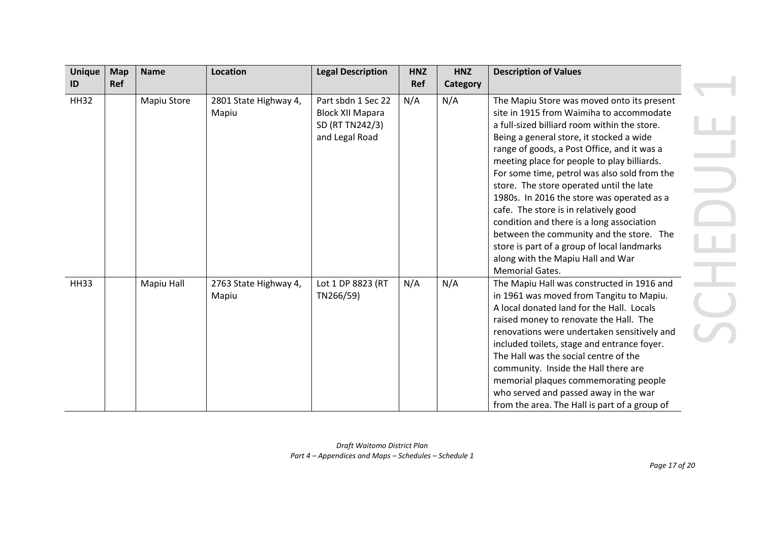| <b>Unique</b> | <b>Map</b> | <b>Name</b> | Location                       | <b>Legal Description</b>                                                           | <b>HNZ</b> | <b>HNZ</b> | <b>Description of Values</b>                                                                                                                                                                                                                                                                                                                                                                                                                                                                                                                                                                                                                                               |
|---------------|------------|-------------|--------------------------------|------------------------------------------------------------------------------------|------------|------------|----------------------------------------------------------------------------------------------------------------------------------------------------------------------------------------------------------------------------------------------------------------------------------------------------------------------------------------------------------------------------------------------------------------------------------------------------------------------------------------------------------------------------------------------------------------------------------------------------------------------------------------------------------------------------|
| ID            | Ref        |             |                                |                                                                                    | Ref        | Category   |                                                                                                                                                                                                                                                                                                                                                                                                                                                                                                                                                                                                                                                                            |
| <b>HH32</b>   |            | Mapiu Store | 2801 State Highway 4,<br>Mapiu | Part sbdn 1 Sec 22<br><b>Block XII Mapara</b><br>SD (RT TN242/3)<br>and Legal Road | N/A        | N/A        | The Mapiu Store was moved onto its present<br>site in 1915 from Waimiha to accommodate<br>a full-sized billiard room within the store.<br>Being a general store, it stocked a wide<br>range of goods, a Post Office, and it was a<br>meeting place for people to play billiards.<br>For some time, petrol was also sold from the<br>store. The store operated until the late<br>1980s. In 2016 the store was operated as a<br>cafe. The store is in relatively good<br>condition and there is a long association<br>between the community and the store. The<br>store is part of a group of local landmarks<br>along with the Mapiu Hall and War<br><b>Memorial Gates.</b> |
| <b>HH33</b>   |            | Mapiu Hall  | 2763 State Highway 4,<br>Mapiu | Lot 1 DP 8823 (RT<br>TN266/59)                                                     | N/A        | N/A        | The Mapiu Hall was constructed in 1916 and<br>in 1961 was moved from Tangitu to Mapiu.<br>A local donated land for the Hall. Locals<br>raised money to renovate the Hall. The<br>renovations were undertaken sensitively and<br>included toilets, stage and entrance foyer.<br>The Hall was the social centre of the<br>community. Inside the Hall there are<br>memorial plaques commemorating people<br>who served and passed away in the war<br>from the area. The Hall is part of a group of                                                                                                                                                                            |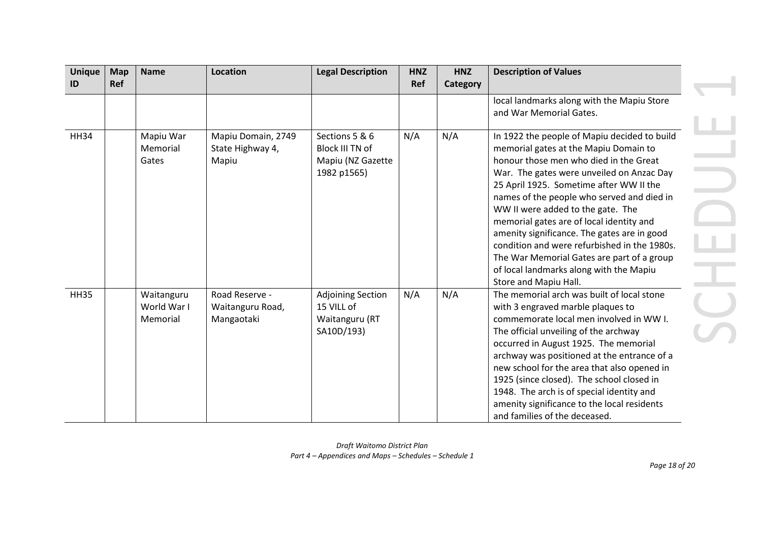| <b>Unique</b><br>ID | <b>Map</b><br><b>Ref</b> | <b>Name</b>                           | <b>Location</b>                                  | <b>Legal Description</b>                                               | <b>HNZ</b><br>Ref | <b>HNZ</b><br>Category | <b>Description of Values</b>                                                                                                                                                                                                                                                                                                                                                                                                                                                                                                                                            |
|---------------------|--------------------------|---------------------------------------|--------------------------------------------------|------------------------------------------------------------------------|-------------------|------------------------|-------------------------------------------------------------------------------------------------------------------------------------------------------------------------------------------------------------------------------------------------------------------------------------------------------------------------------------------------------------------------------------------------------------------------------------------------------------------------------------------------------------------------------------------------------------------------|
|                     |                          |                                       |                                                  |                                                                        |                   |                        | local landmarks along with the Mapiu Store<br>and War Memorial Gates.                                                                                                                                                                                                                                                                                                                                                                                                                                                                                                   |
| <b>HH34</b>         |                          | Mapiu War<br>Memorial<br>Gates        | Mapiu Domain, 2749<br>State Highway 4,<br>Mapiu  | Sections 5 & 6<br>Block III TN of<br>Mapiu (NZ Gazette<br>1982 p1565)  | N/A               | N/A                    | In 1922 the people of Mapiu decided to build<br>memorial gates at the Mapiu Domain to<br>honour those men who died in the Great<br>War. The gates were unveiled on Anzac Day<br>25 April 1925. Sometime after WW II the<br>names of the people who served and died in<br>WW II were added to the gate. The<br>memorial gates are of local identity and<br>amenity significance. The gates are in good<br>condition and were refurbished in the 1980s.<br>The War Memorial Gates are part of a group<br>of local landmarks along with the Mapiu<br>Store and Mapiu Hall. |
| <b>HH35</b>         |                          | Waitanguru<br>World War I<br>Memorial | Road Reserve -<br>Waitanguru Road,<br>Mangaotaki | <b>Adjoining Section</b><br>15 VILL of<br>Waitanguru (RT<br>SA10D/193) | N/A               | N/A                    | The memorial arch was built of local stone<br>with 3 engraved marble plaques to<br>commemorate local men involved in WW I.<br>The official unveiling of the archway<br>occurred in August 1925. The memorial<br>archway was positioned at the entrance of a<br>new school for the area that also opened in<br>1925 (since closed). The school closed in<br>1948. The arch is of special identity and<br>amenity significance to the local residents<br>and families of the deceased.                                                                                    |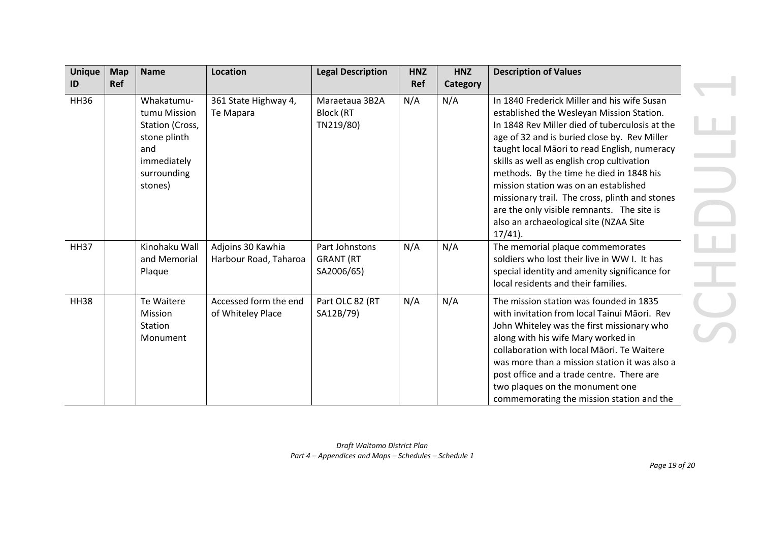| <b>Unique</b> | <b>Map</b> | <b>Name</b>                                                                                                   | <b>Location</b>                            | <b>Legal Description</b>                         | <b>HNZ</b> | <b>HNZ</b> | <b>Description of Values</b>                                                                                                                                                                                                                                                                                                                                                                                                                                                                                                          |
|---------------|------------|---------------------------------------------------------------------------------------------------------------|--------------------------------------------|--------------------------------------------------|------------|------------|---------------------------------------------------------------------------------------------------------------------------------------------------------------------------------------------------------------------------------------------------------------------------------------------------------------------------------------------------------------------------------------------------------------------------------------------------------------------------------------------------------------------------------------|
| ID            | <b>Ref</b> |                                                                                                               |                                            |                                                  | Ref        | Category   |                                                                                                                                                                                                                                                                                                                                                                                                                                                                                                                                       |
| <b>HH36</b>   |            | Whakatumu-<br>tumu Mission<br>Station (Cross,<br>stone plinth<br>and<br>immediately<br>surrounding<br>stones) | 361 State Highway 4,<br>Te Mapara          | Maraetaua 3B2A<br>Block (RT<br>TN219/80)         | N/A        | N/A        | In 1840 Frederick Miller and his wife Susan<br>established the Wesleyan Mission Station.<br>In 1848 Rev Miller died of tuberculosis at the<br>age of 32 and is buried close by. Rev Miller<br>taught local Māori to read English, numeracy<br>skills as well as english crop cultivation<br>methods. By the time he died in 1848 his<br>mission station was on an established<br>missionary trail. The cross, plinth and stones<br>are the only visible remnants. The site is<br>also an archaeological site (NZAA Site<br>$17/41$ ). |
| <b>HH37</b>   |            | Kinohaku Wall<br>and Memorial<br>Plaque                                                                       | Adjoins 30 Kawhia<br>Harbour Road, Taharoa | Part Johnstons<br><b>GRANT (RT</b><br>SA2006/65) | N/A        | N/A        | The memorial plaque commemorates<br>soldiers who lost their live in WW I. It has<br>special identity and amenity significance for<br>local residents and their families.                                                                                                                                                                                                                                                                                                                                                              |
| <b>HH38</b>   |            | Te Waitere<br><b>Mission</b><br>Station<br>Monument                                                           | Accessed form the end<br>of Whiteley Place | Part OLC 82 (RT<br>SA12B/79)                     | N/A        | N/A        | The mission station was founded in 1835<br>with invitation from local Tainui Māori. Rev<br>John Whiteley was the first missionary who<br>along with his wife Mary worked in<br>collaboration with local Maori. Te Waitere<br>was more than a mission station it was also a<br>post office and a trade centre. There are<br>two plaques on the monument one<br>commemorating the mission station and the                                                                                                                               |